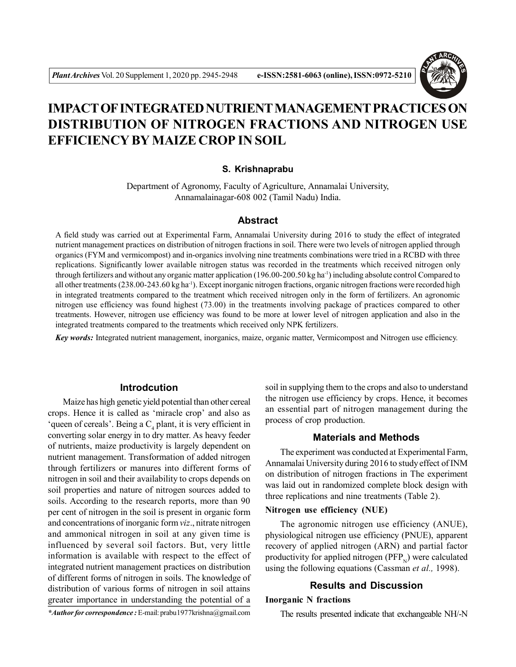

# **IMPACT OF INTEGRATED NUTRIENT MANAGEMENT PRACTICES ON DISTRIBUTION OF NITROGEN FRACTIONS AND NITROGEN USE EFFICIENCY BY MAIZE CROP IN SOIL**

## **S. Krishnaprabu**

Department of Agronomy, Faculty of Agriculture, Annamalai University, Annamalainagar-608 002 (Tamil Nadu) India.

## **Abstract**

A field study was carried out at Experimental Farm, Annamalai University during 2016 to study the effect of integrated nutrient management practices on distribution of nitrogen fractions in soil. There were two levels of nitrogen applied through organics (FYM and vermicompost) and in-organics involving nine treatments combinations were tried in a RCBD with three replications. Significantly lower available nitrogen status was recorded in the treatments which received nitrogen only through fertilizers and without any organic matter application (196.00-200.50 kg ha-1) including absolute control Compared to all other treatments (238.00-243.60 kg ha-1). Except inorganic nitrogen fractions, organic nitrogen fractions were recorded high in integrated treatments compared to the treatment which received nitrogen only in the form of fertilizers. An agronomic nitrogen use efficiency was found highest (73.00) in the treatments involving package of practices compared to other treatments. However, nitrogen use efficiency was found to be more at lower level of nitrogen application and also in the integrated treatments compared to the treatments which received only NPK fertilizers.

*Key words:* Integrated nutrient management, inorganics, maize, organic matter, Vermicompost and Nitrogen use efficiency*.*

## **Introdcution**

Maize has high genetic yield potential than other cereal crops. Hence it is called as 'miracle crop' and also as 'queen of cereals'. Being a  $C_4$  plant, it is very efficient in converting solar energy in to dry matter. As heavy feeder of nutrients, maize productivity is largely dependent on nutrient management. Transformation of added nitrogen through fertilizers or manures into different forms of nitrogen in soil and their availability to crops depends on soil properties and nature of nitrogen sources added to soils. According to the research reports, more than 90 per cent of nitrogen in the soil is present in organic form and concentrations of inorganic form *viz*., nitrate nitrogen and ammonical nitrogen in soil at any given time is influenced by several soil factors. But, very little information is available with respect to the effect of integrated nutrient management practices on distribution of different forms of nitrogen in soils. The knowledge of distribution of various forms of nitrogen in soil attains greater importance in understanding the potential of a

soil in supplying them to the crops and also to understand the nitrogen use efficiency by crops. Hence, it becomes an essential part of nitrogen management during the process of crop production.

# **Materials and Methods**

The experiment was conducted at Experimental Farm, Annamalai University during 2016 to study effect of INM on distribution of nitrogen fractions in The experiment was laid out in randomized complete block design with three replications and nine treatments (Table 2).

## **Nitrogen use efficiency (NUE)**

The agronomic nitrogen use efficiency (ANUE), physiological nitrogen use efficiency (PNUE), apparent recovery of applied nitrogen (ARN) and partial factor productivity for applied nitrogen  $(PFP_{N})$  were calculated using the following equations (Cassman *et al.,* 1998).

# **Results and Discussion**

#### **Inorganic N fractions**

*\*Author for correspondence :* E-mail: prabu1977krishna@gmail.com

The results presented indicate that exchangeable NH/-N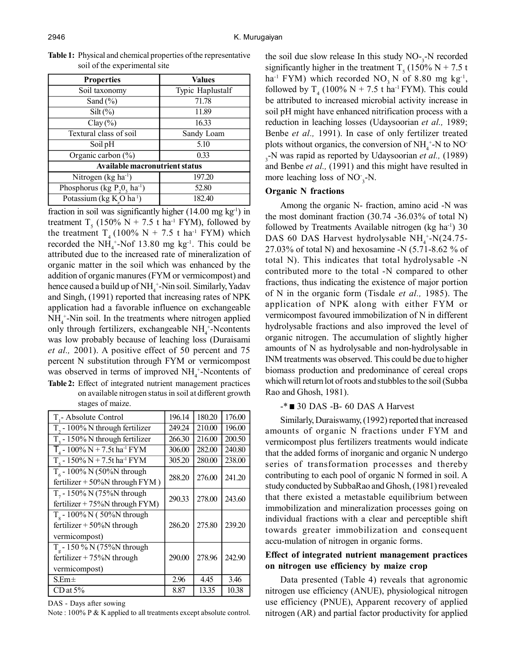| <b>Properties</b>                                | <b>Values</b>    |  |  |  |  |  |
|--------------------------------------------------|------------------|--|--|--|--|--|
| Soil taxonomy                                    | Typic Haplustalf |  |  |  |  |  |
| Sand $(\% )$                                     | 71.78            |  |  |  |  |  |
| $Silt (\%)$                                      | 11.89            |  |  |  |  |  |
| $Clay(\%)$                                       | 16.33            |  |  |  |  |  |
| Textural class of soil                           | Sandy Loam       |  |  |  |  |  |
| Soil pH                                          | 5.10             |  |  |  |  |  |
| Organic carbon (%)                               | 0.33             |  |  |  |  |  |
| <b>Available macronutrient status</b>            |                  |  |  |  |  |  |
| Nitrogen (kg ha <sup>-1</sup> )                  | 197.20           |  |  |  |  |  |
| Phosphorus (kg $P_2O_5$ ha <sup>-1</sup> )       | 52.80            |  |  |  |  |  |
| Potassium (kg K <sub>2</sub> O ha <sup>1</sup> ) | 182.40           |  |  |  |  |  |

**Table 1:** Physical and chemical properties of the representative soil of the experimental site

fraction in soil was significantly higher  $(14.00 \text{ mg kg}^{-1})$  in treatment T<sub>5</sub> (150% N + 7.5 t ha<sup>-1</sup> FYM), followed by the treatment  $T_4$  (100% N + 7.5 t ha<sup>-1</sup> FYM) which recorded the  $NH_4^+$ -Nof 13.80 mg kg<sup>-1</sup>. This could be attributed due to the increased rate of mineralization of organic matter in the soil which was enhanced by the addition of organic manures (FYM or vermicompost) and hence caused a build up of  $NH_4^+$ -Nin soil. Similarly, Yadav and Singh, (1991) reported that increasing rates of NPK application had a favorable influence on exchangeable  $NH<sub>4</sub><sup>+</sup>$ -Nin soil. In the treatments where nitrogen applied only through fertilizers, exchangeable  $NH<sub>4</sub><sup>+</sup>-N<sub>c</sub>ontents$ was low probably because of leaching loss (Duraisami *et al.,* 2001). A positive effect of 50 percent and 75 percent N substitution through FYM or vermicompost was observed in terms of improved  $NH<sub>4</sub><sup>+</sup>$ -Ncontents of **Table 2:** Effect of integrated nutrient management practices on available nitrogen status in soil at different growth

stages of maize.

| T.- Absolute Control                        | 196.14 | 180.20 | 176.00 |  |
|---------------------------------------------|--------|--------|--------|--|
| $T2$ - 100% N through fertilizer            | 249.24 | 210.00 | 196.00 |  |
| $T3 - 150\%$ N through fertilizer           | 266.30 | 216.00 | 200.50 |  |
| $T_{1}$ - 100% N + 7.5t ha <sup>1</sup> FYM | 306.00 | 282.00 | 240.80 |  |
| $T_c$ - 150% N + 7.5t ha <sup>1</sup> FYM   | 305.20 | 280.00 | 238.00 |  |
| $T_{6}$ - 100% N (50%N through              |        |        |        |  |
| fertilizer + $50\%$ N through FYM)          | 288.20 | 276.00 | 241.20 |  |
| T <sub>7</sub> - 150% N (75%N through       |        |        |        |  |
| fertilizer + $75\%$ N through FYM)          | 290.33 | 278.00 | 243.60 |  |
| $T_s$ - 100% N (50%N through                |        |        |        |  |
| fertilizer $+50\%$ N through                | 286.20 | 275.80 | 239.20 |  |
| vermicompost)                               |        |        |        |  |
| $T_c$ - 150 % N (75%N through               |        |        |        |  |
| fertilizer + $75\%$ N through               | 290.00 | 278.96 | 242.90 |  |
| vermicompost)                               |        |        |        |  |
| $S.Em\pm$                                   | 2.96   | 4.45   | 3.46   |  |
| $CD$ at 5%                                  | 8.87   | 13.35  | 10.38  |  |

DAS - Days after sowing

Note : 100% P & K applied to all treatments except absolute control.

the soil due slow release In this study  $NO_{3}$ -N recorded significantly higher in the treatment  $T_s$  (150% N + 7.5 t ha<sup>-1</sup> FYM) which recorded  $NO_3$  N of 8.80 mg kg<sup>-1</sup>, followed by  $T_4$  (100% N + 7.5 t ha<sup>-1</sup> FYM). This could be attributed to increased microbial activity increase in soil pH might have enhanced nitrification process with a reduction in leaching losses (Udaysoorian *et al.,* 1989; Benbe *et al.,* 1991). In case of only fertilizer treated plots without organics, the conversion of  $NH_4^+$ -N to NO 3 -N was rapid as reported by Udaysoorian *et al.,* (1989) and Benbe *et al.,* (1991) and this might have resulted in more leaching loss of  $NO_{3}^{\circ}$ -N.

#### **Organic N fractions**

Among the organic N- fraction, amino acid -N was the most dominant fraction (30.74 -36.03% of total N) followed by Treatments Available nitrogen (kg ha<sup>-1</sup>) 30 DAS 60 DAS Harvest hydrolysable  $NH_4^+$ -N(24.75-27.03% of total N) and hexosamine -N (5.71-8.62 % of total N). This indicates that total hydrolysable -N contributed more to the total -N compared to other fractions, thus indicating the existence of major portion of N in the organic form (Tisdale *et al.,* 1985). The application of NPK along with either FYM or vermicompost favoured immobilization of N in different hydrolysable fractions and also improved the level of organic nitrogen. The accumulation of slightly higher amounts of N as hydrolysable and non-hydrolysable in INM treatments was observed. This could be due to higher biomass production and predominance of cereal crops which will return lot of roots and stubbles to the soil (Subba Rao and Ghosh, 1981).

### $-$ \* 30 DAS -B- 60 DAS A Harvest

Similarly, Duraiswamy, (1992) reported that increased amounts of organic N fractions under FYM and vermicompost plus fertilizers treatments would indicate that the added forms of inorganic and organic N undergo series of transformation processes and thereby contributing to each pool of organic N formed in soil. A study conducted by SubbaRao and Ghosh, (1981) revealed that there existed a metastable equilibrium between immobilization and mineralization processes going on individual fractions with a clear and perceptible shift towards greater immobilization and consequent accu-mulation of nitrogen in organic forms.

# **Effect of integrated nutrient management practices on nitrogen use efficiency by maize crop**

Data presented (Table 4) reveals that agronomic nitrogen use efficiency (ANUE), physiological nitrogen use efficiency (PNUE), Apparent recovery of applied nitrogen (AR) and partial factor productivity for applied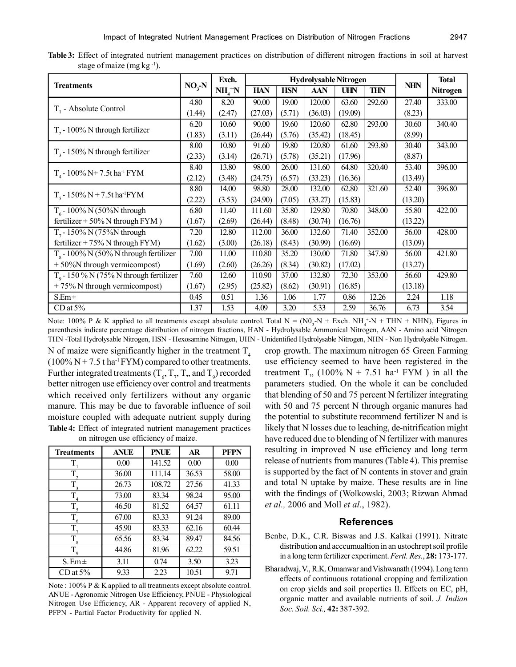|                                                |         | Exch.<br><b>Hydrolysable Nitrogen</b> |            |            |            |            | <b>Total</b> |            |                 |
|------------------------------------------------|---------|---------------------------------------|------------|------------|------------|------------|--------------|------------|-----------------|
| <b>Treatments</b>                              | $NO3-N$ | $NH4+N$                               | <b>HAN</b> | <b>HSN</b> | <b>AAN</b> | <b>UHN</b> | <b>THN</b>   | <b>NHN</b> | <b>Nitrogen</b> |
| $T_1$ - Absolute Control                       | 4.80    | 8.20                                  | 90.00      | 19.00      | 120.00     | 63.60      | 292.60       | 27.40      | 333.00          |
|                                                | (1.44)  | (2.47)                                | (27.03)    | (5.71)     | (36.03)    | (19.09)    |              | (8.23)     |                 |
|                                                | 6.20    | 10.60                                 | 90.00      | 19.60      | 120.60     | 62.80      | 293.00       | 30.60      | 340.40          |
| $T2$ - 100% N through fertilizer               | (1.83)  | (3.11)                                | (26.44)    | (5.76)     | (35.42)    | (18.45)    |              | (8.99)     |                 |
|                                                | 8.00    | 10.80                                 | 91.60      | 19.80      | 120.80     | 61.60      | 293.80       | 30.40      | 343.00          |
| $T_1$ - 150% N through fertilizer              | (2.33)  | (3.14)                                | (26.71)    | (5.78)     | (35.21)    | (17.96)    |              | (8.87)     |                 |
| $T_{4}$ - 100% N+7.5t ha <sup>-1</sup> FYM     | 8.40    | 13.80                                 | 98.00      | 26.00      | 131.60     | 64.80      | 320.40       | 53.40      | 396.00          |
|                                                | (2.12)  | (3.48)                                | (24.75)    | (6.57)     | (33.23)    | (16.36)    |              | (13.49)    |                 |
| $T_s$ - 150% N + 7.5t ha <sup>-1</sup> FYM     | 8.80    | 14.00                                 | 98.80      | 28.00      | 132.00     | 62.80      | 321.60       | 52.40      | 396.80          |
|                                                | (2.22)  | (3.53)                                | (24.90)    | (7.05)     | (33.27)    | (15.83)    |              | (13.20)    |                 |
| $T_{6}$ -100% N (50%N through                  | 6.80    | 11.40                                 | 111.60     | 35.80      | 129.80     | 70.80      | 348.00       | 55.80      | 422.00          |
| fertilizer + $50\%$ N through FYM)             | (1.67)  | (2.69)                                | (26.44)    | (8.48)     | (30.74)    | (16.76)    |              | (13.22)    |                 |
| T <sub>7</sub> - 150% N (75%N through          | 7.20    | 12.80                                 | 112.00     | 36.00      | 132.60     | 71.40      | 352.00       | 56.00      | 428.00          |
| fertilizer + $75\%$ N through FYM)             | (1.62)  | (3.00)                                | (26.18)    | (8.43)     | (30.99)    | (16.69)    |              | (13.09)    |                 |
| $T_{\rm s}$ - 100% N (50% N through fertilizer | 7.00    | 11.00                                 | 110.80     | 35.20      | 130.00     | 71.80      | 347.80       | 56.00      | 421.80          |
| +50%N through vermicompost)                    | (1.69)  | (2.60)                                | (26.26)    | (8.34)     | (30.82)    | (17.02)    |              | (13.27)    |                 |
| $To$ - 150 % N (75% N through fertilizer       | 7.60    | 12.60                                 | 110.90     | 37.00      | 132.80     | 72.30      | 353.00       | 56.60      | 429.80          |
| +75% N through vermicompost)                   | (1.67)  | (2.95)                                | (25.82)    | (8.62)     | (30.91)    | (16.85)    |              | (13.18)    |                 |
| $S.Em\pm$                                      | 0.45    | 0.51                                  | 1.36       | 1.06       | 1.77       | 0.86       | 12.26        | 2.24       | 1.18            |
| $CD$ at $5%$                                   | 1.37    | 1.53                                  | 4.09       | 3.20       | 5.33       | 2.59       | 36.76        | 6.73       | 3.54            |

**Table 3:** Effect of integrated nutrient management practices on distribution of different nitrogen fractions in soil at harvest stage of maize (mg kg $^{-1}$ ).

Note: 100% P & K applied to all treatments except absolute control. Total  $N = (N0<sub>3</sub>-N + Exch. NH<sub>4</sub><sup>+</sup>-N + THN + NHN)$ , Figures in parenthesis indicate percentage distribution of nitrogen fractions, HAN - Hydrolysable Ammonical Nitrogen, AAN - Amino acid Nitrogen THN -Total Hydrolysable Nitrogen, HSN - Hexosamine Nitrogen, UHN - Unidentified Hydrolysable Nitrogen, NHN - Non Hydrolyable Nitrogen.

**Table 4:** Effect of integrated nutrient management practices on nitrogen use efficiency of maize. N of maize were significantly higher in the treatment  $T<sub>4</sub>$  $(100\% N + 7.5 t \text{ ha}^{-1} FYM)$  compared to other treatments. Further integrated treatments ( $T_{6}$ ,  $T_{7}$ ,  $T_{1}$ , and  $T_{9}$ ) recorded better nitrogen use efficiency over control and treatments which received only fertilizers without any organic manure. This may be due to favorable influence of soil moisture coupled with adequate nutrient supply during

| <b>Treatments</b> | <b>ANUE</b> | <b>PNUE</b> | AR    | <b>PFPN</b> |
|-------------------|-------------|-------------|-------|-------------|
| Τ                 | 0.00        | 141.52      | 0.00  | 0.00        |
| $T_{2}$           | 36.00       | 111.14      | 36.53 | 58.00       |
| $T_{3}$           | 26.73       | 108.72      | 27.56 | 41.33       |
| $T_{4}$           | 73.00       | 83.34       | 98.24 | 95.00       |
| T <sub>5</sub>    | 46.50       | 81.52       | 64.57 | 61.11       |
| $T_{6}$           | 67.00       | 83.33       | 91.24 | 89.00       |
| $T_{7}$           | 45.90       | 83.33       | 62.16 | 60.44       |
| $T_{8}$           | 65.56       | 83.34       | 89.47 | 84.56       |
| $T_{\rm 9}$       | 44.86       | 81.96       | 62.22 | 59.51       |
| S. Em $\pm$       | 3.11        | 0.74        | 3.50  | 3.23        |
| $CD$ at 5%        | 9.33        | 2.23        | 10.51 | 9.71        |

Note : 100% P & K applied to all treatments except absolute control. ANUE - Agronomic Nitrogen Use Efficiency, PNUE - Physiological Nitrogen Use Efficiency, AR - Apparent recovery of applied N, PFPN - Partial Factor Productivity for applied N.

crop growth. The maximum nitrogen 65 Green Farming use efficiency seemed to have been registered in the treatment T<sub>1</sub>,  $(100\% \text{ N} + 7.51 \text{ ha}^{-1} \text{ FYM})$  in all the parameters studied. On the whole it can be concluded that blending of 50 and 75 percent N fertilizer integrating with 50 and 75 percent N through organic manures had the potential to substitute recommend fertilizer N and is likely that N losses due to leaching, de-nitrification might have reduced due to blending of N fertilizer with manures resulting in improved N use efficiency and long term release of nutrients from manures (Table 4). This premise is supported by the fact of N contents in stover and grain and total N uptake by maize. These results are in line with the findings of (Wolkowski, 2003; Rizwan Ahmad *et al.,* 2006 and Moll *et al*., 1982).

### **References**

- Benbe, D.K., C.R. Biswas and J.S. Kalkai (1991). Nitrate distribution and acccumualtion in an ustochrept soil profile in a long term fertilizer experiment. *Fertl. Res.*, **28:** 173-177.
- Bharadwaj, V., R.K. Omanwar and Vishwanath (1994). Long term effects of continuous rotational cropping and fertilization on crop yields and soil properties II. Effects on EC, pH, organic matter and available nutrients of soil. *J. Indian Soc. Soil. Sci.,* **42:** 387-392.